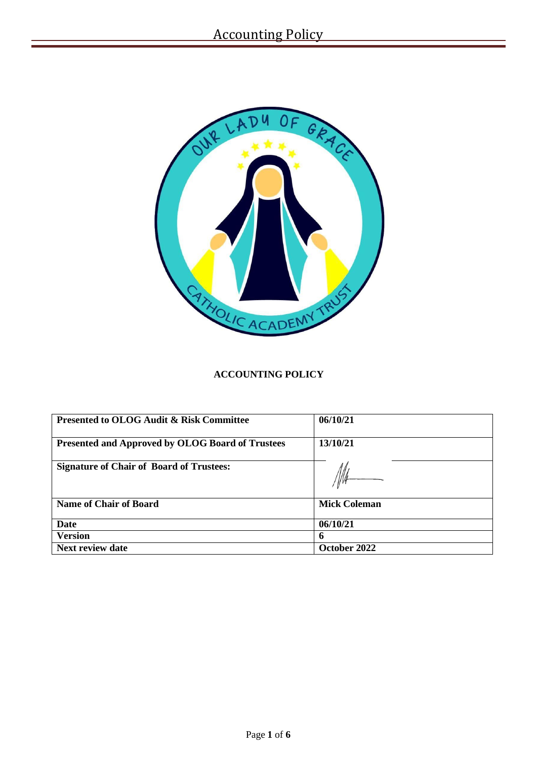

# **ACCOUNTING POLICY**

| <b>Presented to OLOG Audit &amp; Risk Committee</b> | 06/10/21            |
|-----------------------------------------------------|---------------------|
| Presented and Approved by OLOG Board of Trustees    | 13/10/21            |
| <b>Signature of Chair of Board of Trustees:</b>     |                     |
| <b>Name of Chair of Board</b>                       | <b>Mick Coleman</b> |
| <b>Date</b>                                         | 06/10/21            |
| <b>Version</b>                                      | 6                   |
| <b>Next review date</b>                             | October 2022        |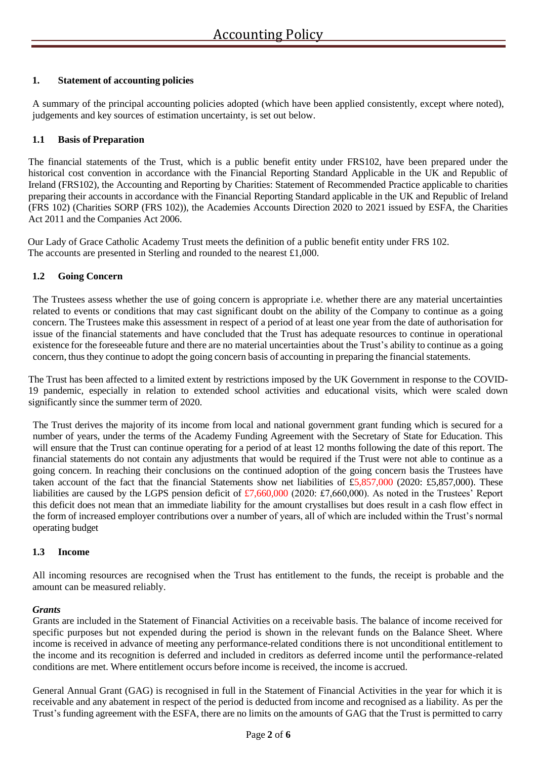# **1. Statement of accounting policies**

A summary of the principal accounting policies adopted (which have been applied consistently, except where noted), judgements and key sources of estimation uncertainty, is set out below.

### **1.1 Basis of Preparation**

The financial statements of the Trust, which is a public benefit entity under FRS102, have been prepared under the historical cost convention in accordance with the Financial Reporting Standard Applicable in the UK and Republic of Ireland (FRS102), the Accounting and Reporting by Charities: Statement of Recommended Practice applicable to charities preparing their accounts in accordance with the Financial Reporting Standard applicable in the UK and Republic of Ireland (FRS 102) (Charities SORP (FRS 102)), the Academies Accounts Direction 2020 to 2021 issued by ESFA, the Charities Act 2011 and the Companies Act 2006.

Our Lady of Grace Catholic Academy Trust meets the definition of a public benefit entity under FRS 102. The accounts are presented in Sterling and rounded to the nearest £1,000.

### **1.2 Going Concern**

The Trustees assess whether the use of going concern is appropriate i.e. whether there are any material uncertainties related to events or conditions that may cast significant doubt on the ability of the Company to continue as a going concern. The Trustees make this assessment in respect of a period of at least one year from the date of authorisation for issue of the financial statements and have concluded that the Trust has adequate resources to continue in operational existence for the foreseeable future and there are no material uncertainties about the Trust's ability to continue as a going concern, thus they continue to adopt the going concern basis of accounting in preparing the financial statements.

The Trust has been affected to a limited extent by restrictions imposed by the UK Government in response to the COVID-19 pandemic, especially in relation to extended school activities and educational visits, which were scaled down significantly since the summer term of 2020.

The Trust derives the majority of its income from local and national government grant funding which is secured for a number of years, under the terms of the Academy Funding Agreement with the Secretary of State for Education. This will ensure that the Trust can continue operating for a period of at least 12 months following the date of this report. The financial statements do not contain any adjustments that would be required if the Trust were not able to continue as a going concern. In reaching their conclusions on the continued adoption of the going concern basis the Trustees have taken account of the fact that the financial Statements show net liabilities of £5,857,000 (2020: £5,857,000). These liabilities are caused by the LGPS pension deficit of £7,660,000 (2020: £7,660,000). As noted in the Trustees' Report this deficit does not mean that an immediate liability for the amount crystallises but does result in a cash flow effect in the form of increased employer contributions over a number of years, all of which are included within the Trust's normal operating budget

### **1.3 Income**

All incoming resources are recognised when the Trust has entitlement to the funds, the receipt is probable and the amount can be measured reliably.

### *Grants*

Grants are included in the Statement of Financial Activities on a receivable basis. The balance of income received for specific purposes but not expended during the period is shown in the relevant funds on the Balance Sheet. Where income is received in advance of meeting any performance-related conditions there is not unconditional entitlement to the income and its recognition is deferred and included in creditors as deferred income until the performance-related conditions are met. Where entitlement occurs before income is received, the income is accrued.

General Annual Grant (GAG) is recognised in full in the Statement of Financial Activities in the year for which it is receivable and any abatement in respect of the period is deducted from income and recognised as a liability. As per the Trust's funding agreement with the ESFA, there are no limits on the amounts of GAG that the Trust is permitted to carry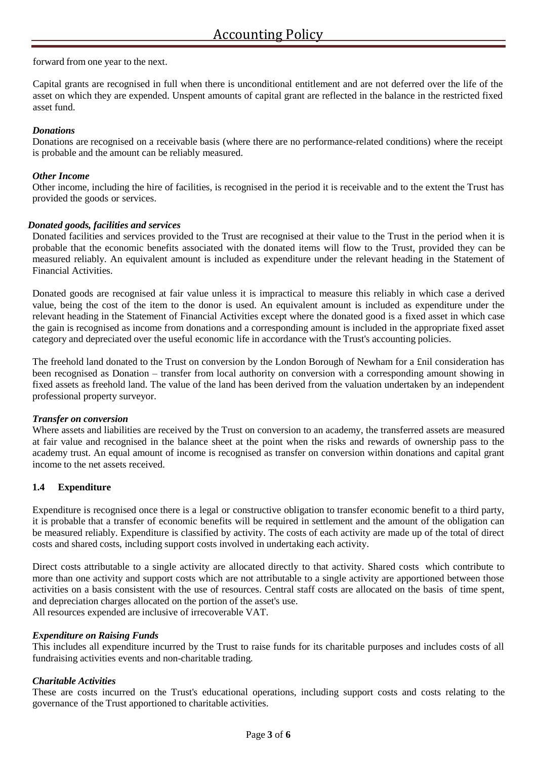forward from one year to the next.

Capital grants are recognised in full when there is unconditional entitlement and are not deferred over the life of the asset on which they are expended. Unspent amounts of capital grant are reflected in the balance in the restricted fixed asset fund.

### *Donations*

Donations are recognised on a receivable basis (where there are no performance-related conditions) where the receipt is probable and the amount can be reliably measured.

### *Other Income*

Other income, including the hire of facilities, is recognised in the period it is receivable and to the extent the Trust has provided the goods or services.

### *Donated goods, facilities and services*

Donated facilities and services provided to the Trust are recognised at their value to the Trust in the period when it is probable that the economic benefits associated with the donated items will flow to the Trust, provided they can be measured reliably. An equivalent amount is included as expenditure under the relevant heading in the Statement of Financial Activities.

Donated goods are recognised at fair value unless it is impractical to measure this reliably in which case a derived value, being the cost of the item to the donor is used. An equivalent amount is included as expenditure under the relevant heading in the Statement of Financial Activities except where the donated good is a fixed asset in which case the gain is recognised as income from donations and a corresponding amount is included in the appropriate fixed asset category and depreciated over the useful economic life in accordance with the Trust's accounting policies.

The freehold land donated to the Trust on conversion by the London Borough of Newham for a £nil consideration has been recognised as Donation – transfer from local authority on conversion with a corresponding amount showing in fixed assets as freehold land. The value of the land has been derived from the valuation undertaken by an independent professional property surveyor.

### *Transfer on conversion*

Where assets and liabilities are received by the Trust on conversion to an academy, the transferred assets are measured at fair value and recognised in the balance sheet at the point when the risks and rewards of ownership pass to the academy trust. An equal amount of income is recognised as transfer on conversion within donations and capital grant income to the net assets received.

# **1.4 Expenditure**

Expenditure is recognised once there is a legal or constructive obligation to transfer economic benefit to a third party, it is probable that a transfer of economic benefits will be required in settlement and the amount of the obligation can be measured reliably. Expenditure is classified by activity. The costs of each activity are made up of the total of direct costs and shared costs, including support costs involved in undertaking each activity.

Direct costs attributable to a single activity are allocated directly to that activity. Shared costs which contribute to more than one activity and support costs which are not attributable to a single activity are apportioned between those activities on a basis consistent with the use of resources. Central staff costs are allocated on the basis of time spent, and depreciation charges allocated on the portion of the asset's use. All resources expended are inclusive of irrecoverable VAT.

### *Expenditure on Raising Funds*

This includes all expenditure incurred by the Trust to raise funds for its charitable purposes and includes costs of all fundraising activities events and non-charitable trading.

### *Charitable Activities*

These are costs incurred on the Trust's educational operations, including support costs and costs relating to the governance of the Trust apportioned to charitable activities.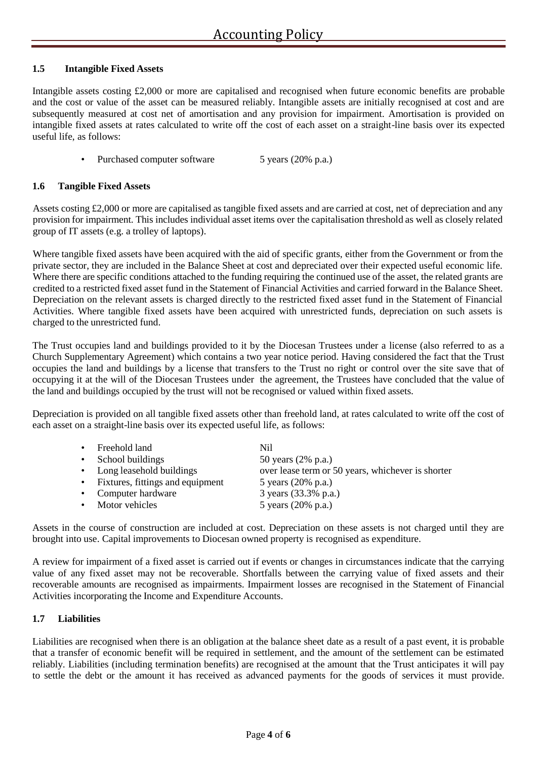### **1.5 Intangible Fixed Assets**

Intangible assets costing £2,000 or more are capitalised and recognised when future economic benefits are probable and the cost or value of the asset can be measured reliably. Intangible assets are initially recognised at cost and are subsequently measured at cost net of amortisation and any provision for impairment. Amortisation is provided on intangible fixed assets at rates calculated to write off the cost of each asset on a straight-line basis over its expected useful life, as follows:

Purchased computer software 5 years (20% p.a.)

### **1.6 Tangible Fixed Assets**

Assets costing £2,000 or more are capitalised as tangible fixed assets and are carried at cost, net of depreciation and any provision for impairment. This includes individual asset items over the capitalisation threshold as well as closely related group of IT assets (e.g. a trolley of laptops).

Where tangible fixed assets have been acquired with the aid of specific grants, either from the Government or from the private sector, they are included in the Balance Sheet at cost and depreciated over their expected useful economic life. Where there are specific conditions attached to the funding requiring the continued use of the asset, the related grants are credited to a restricted fixed asset fund in the Statement of Financial Activities and carried forward in the Balance Sheet. Depreciation on the relevant assets is charged directly to the restricted fixed asset fund in the Statement of Financial Activities. Where tangible fixed assets have been acquired with unrestricted funds, depreciation on such assets is charged to the unrestricted fund.

The Trust occupies land and buildings provided to it by the Diocesan Trustees under a license (also referred to as a Church Supplementary Agreement) which contains a two year notice period. Having considered the fact that the Trust occupies the land and buildings by a license that transfers to the Trust no right or control over the site save that of occupying it at the will of the Diocesan Trustees under the agreement, the Trustees have concluded that the value of the land and buildings occupied by the trust will not be recognised or valued within fixed assets.

Depreciation is provided on all tangible fixed assets other than freehold land, at rates calculated to write off the cost of each asset on a straight-line basis over its expected useful life, as follows:

| • Freehold land                    | Nil                                               |
|------------------------------------|---------------------------------------------------|
| • School buildings                 | 50 years (2% p.a.)                                |
| • Long leasehold buildings         | over lease term or 50 years, whichever is shorter |
| • Fixtures, fittings and equipment | 5 years (20% p.a.)                                |
| • Computer hardware                | 3 years (33.3% p.a.)                              |
| • Motor vehicles                   | 5 years (20% p.a.)                                |

Assets in the course of construction are included at cost. Depreciation on these assets is not charged until they are brought into use. Capital improvements to Diocesan owned property is recognised as expenditure.

A review for impairment of a fixed asset is carried out if events or changes in circumstances indicate that the carrying value of any fixed asset may not be recoverable. Shortfalls between the carrying value of fixed assets and their recoverable amounts are recognised as impairments. Impairment losses are recognised in the Statement of Financial Activities incorporating the Income and Expenditure Accounts.

### **1.7 Liabilities**

Liabilities are recognised when there is an obligation at the balance sheet date as a result of a past event, it is probable that a transfer of economic benefit will be required in settlement, and the amount of the settlement can be estimated reliably. Liabilities (including termination benefits) are recognised at the amount that the Trust anticipates it will pay to settle the debt or the amount it has received as advanced payments for the goods of services it must provide.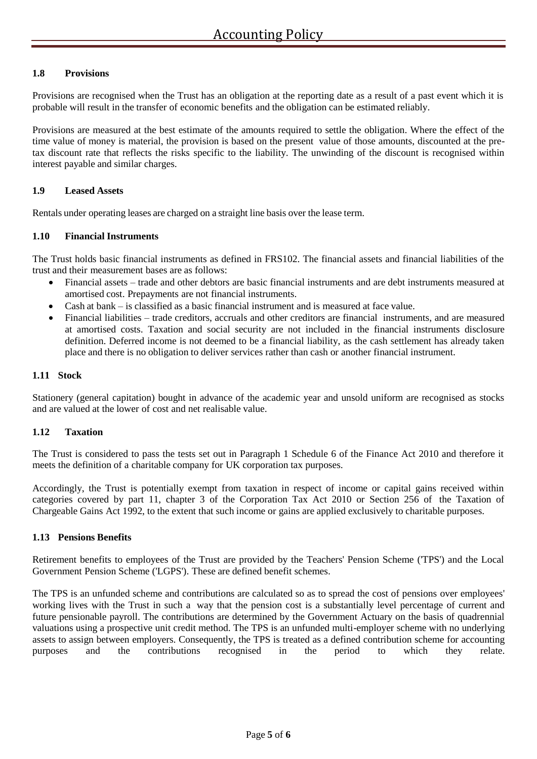# **1.8 Provisions**

Provisions are recognised when the Trust has an obligation at the reporting date as a result of a past event which it is probable will result in the transfer of economic benefits and the obligation can be estimated reliably.

Provisions are measured at the best estimate of the amounts required to settle the obligation. Where the effect of the time value of money is material, the provision is based on the present value of those amounts, discounted at the pretax discount rate that reflects the risks specific to the liability. The unwinding of the discount is recognised within interest payable and similar charges.

### **1.9 Leased Assets**

Rentals under operating leases are charged on a straight line basis over the lease term.

### **1.10 Financial Instruments**

The Trust holds basic financial instruments as defined in FRS102. The financial assets and financial liabilities of the trust and their measurement bases are as follows:

- Financial assets trade and other debtors are basic financial instruments and are debt instruments measured at amortised cost. Prepayments are not financial instruments.
- Cash at bank is classified as a basic financial instrument and is measured at face value.
- Financial liabilities trade creditors, accruals and other creditors are financial instruments, and are measured at amortised costs. Taxation and social security are not included in the financial instruments disclosure definition. Deferred income is not deemed to be a financial liability, as the cash settlement has already taken place and there is no obligation to deliver services rather than cash or another financial instrument.

### **1.11 Stock**

Stationery (general capitation) bought in advance of the academic year and unsold uniform are recognised as stocks and are valued at the lower of cost and net realisable value.

# **1.12 Taxation**

The Trust is considered to pass the tests set out in Paragraph 1 Schedule 6 of the Finance Act 2010 and therefore it meets the definition of a charitable company for UK corporation tax purposes.

Accordingly, the Trust is potentially exempt from taxation in respect of income or capital gains received within categories covered by part 11, chapter 3 of the Corporation Tax Act 2010 or Section 256 of the Taxation of Chargeable Gains Act 1992, to the extent that such income or gains are applied exclusively to charitable purposes.

### **1.13 Pensions Benefits**

Retirement benefits to employees of the Trust are provided by the Teachers' Pension Scheme ('TPS') and the Local Government Pension Scheme ('LGPS'). These are defined benefit schemes.

The TPS is an unfunded scheme and contributions are calculated so as to spread the cost of pensions over employees' working lives with the Trust in such a way that the pension cost is a substantially level percentage of current and future pensionable payroll. The contributions are determined by the Government Actuary on the basis of quadrennial valuations using a prospective unit credit method. The TPS is an unfunded multi-employer scheme with no underlying assets to assign between employers. Consequently, the TPS is treated as a defined contribution scheme for accounting purposes and the contributions recognised in the period to which they relate.